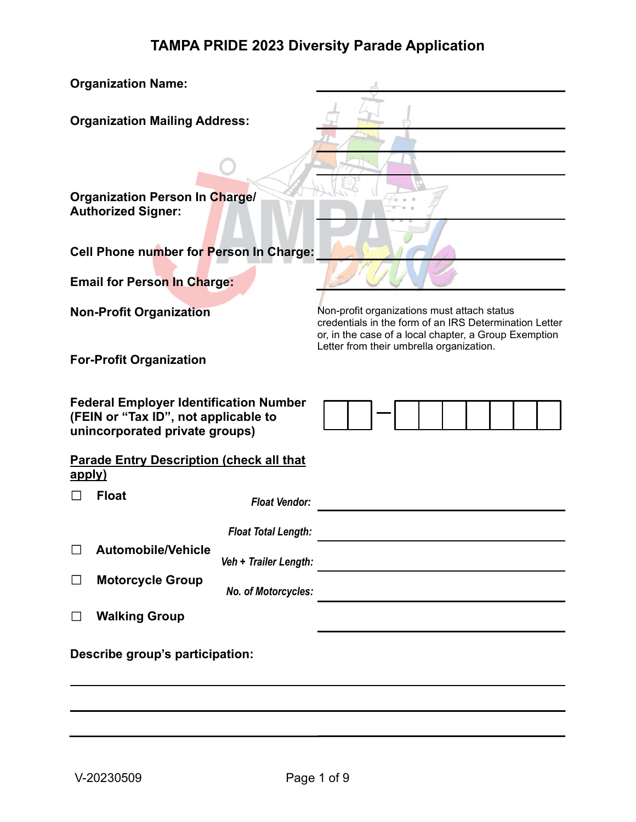| <b>Organization Name:</b>                                                                                                           |                                                                                                       |  |  |  |  |  |
|-------------------------------------------------------------------------------------------------------------------------------------|-------------------------------------------------------------------------------------------------------|--|--|--|--|--|
| <b>Organization Mailing Address:</b>                                                                                                |                                                                                                       |  |  |  |  |  |
| <b>Organization Person In Charge/</b><br><b>Authorized Signer:</b>                                                                  |                                                                                                       |  |  |  |  |  |
| Cell Phone number for Person In Charge:                                                                                             |                                                                                                       |  |  |  |  |  |
| <b>Email for Person In Charge:</b>                                                                                                  |                                                                                                       |  |  |  |  |  |
| <b>Non-Profit Organization</b>                                                                                                      | Non-profit organizations must attach status<br>credentials in the form of an IRS Determination Letter |  |  |  |  |  |
| or, in the case of a local chapter, a Group Exemption<br>Letter from their umbrella organization.<br><b>For-Profit Organization</b> |                                                                                                       |  |  |  |  |  |
| <b>Federal Employer Identification Number</b><br>(FEIN or "Tax ID", not applicable to<br>unincorporated private groups)             |                                                                                                       |  |  |  |  |  |
| <b>Parade Entry Description (check all that</b><br>apply)                                                                           |                                                                                                       |  |  |  |  |  |
| <b>Float</b><br><b>Float Vendor:</b>                                                                                                |                                                                                                       |  |  |  |  |  |
| <b>Float Total Length:</b><br><b>Automobile/Vehicle</b><br>Veh + Trailer Length:                                                    |                                                                                                       |  |  |  |  |  |
| <b>Motorcycle Group</b><br>□<br>No. of Motorcycles:                                                                                 |                                                                                                       |  |  |  |  |  |
| <b>Walking Group</b>                                                                                                                |                                                                                                       |  |  |  |  |  |
| Describe group's participation:                                                                                                     |                                                                                                       |  |  |  |  |  |
|                                                                                                                                     |                                                                                                       |  |  |  |  |  |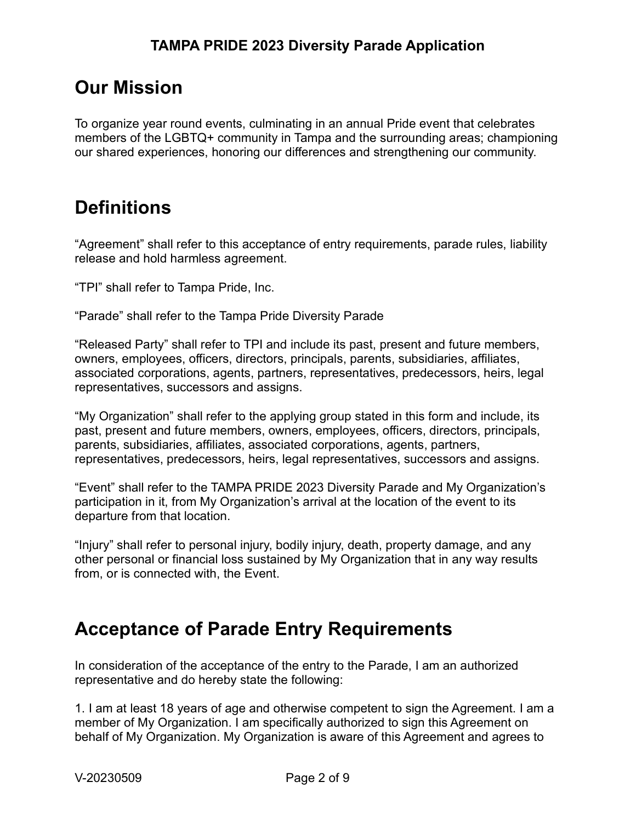### Our Mission

To organize year round events, culminating in an annual Pride event that celebrates members of the LGBTQ+ community in Tampa and the surrounding areas; championing our shared experiences, honoring our differences and strengthening our community.

### **Definitions**

"Agreement" shall refer to this acceptance of entry requirements, parade rules, liability release and hold harmless agreement.

"TPI" shall refer to Tampa Pride, Inc.

"Parade" shall refer to the Tampa Pride Diversity Parade

"Released Party" shall refer to TPI and include its past, present and future members, owners, employees, officers, directors, principals, parents, subsidiaries, affiliates, associated corporations, agents, partners, representatives, predecessors, heirs, legal representatives, successors and assigns.

"My Organization" shall refer to the applying group stated in this form and include, its past, present and future members, owners, employees, officers, directors, principals, parents, subsidiaries, affiliates, associated corporations, agents, partners, representatives, predecessors, heirs, legal representatives, successors and assigns.

"Event" shall refer to the TAMPA PRIDE 2023 Diversity Parade and My Organization's participation in it, from My Organization's arrival at the location of the event to its departure from that location.

"Injury" shall refer to personal injury, bodily injury, death, property damage, and any other personal or financial loss sustained by My Organization that in any way results from, or is connected with, the Event.

### Acceptance of Parade Entry Requirements

In consideration of the acceptance of the entry to the Parade, I am an authorized representative and do hereby state the following:

1. I am at least 18 years of age and otherwise competent to sign the Agreement. I am a member of My Organization. I am specifically authorized to sign this Agreement on behalf of My Organization. My Organization is aware of this Agreement and agrees to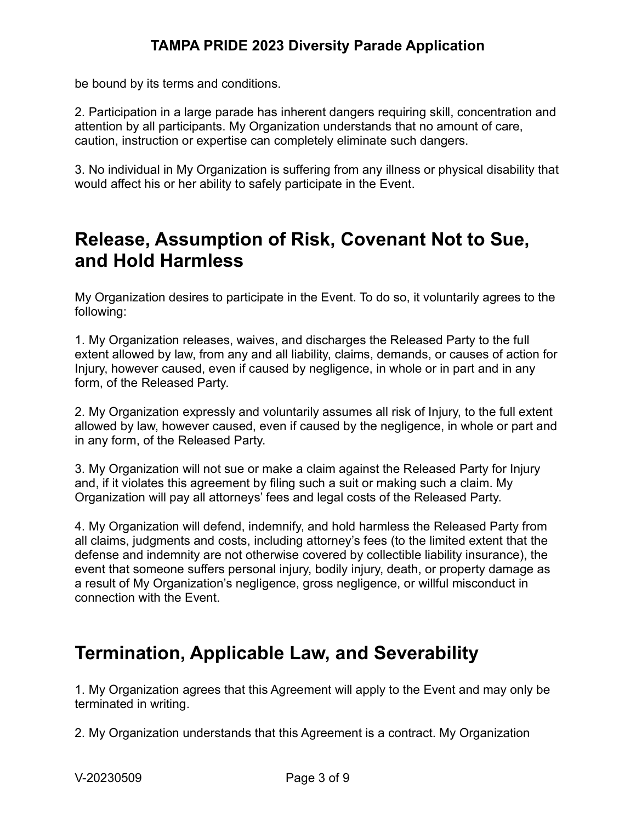be bound by its terms and conditions.

2. Participation in a large parade has inherent dangers requiring skill, concentration and attention by all participants. My Organization understands that no amount of care, caution, instruction or expertise can completely eliminate such dangers.

3. No individual in My Organization is suffering from any illness or physical disability that would affect his or her ability to safely participate in the Event.

### Release, Assumption of Risk, Covenant Not to Sue, and Hold Harmless

My Organization desires to participate in the Event. To do so, it voluntarily agrees to the following:

1. My Organization releases, waives, and discharges the Released Party to the full extent allowed by law, from any and all liability, claims, demands, or causes of action for Injury, however caused, even if caused by negligence, in whole or in part and in any form, of the Released Party.

2. My Organization expressly and voluntarily assumes all risk of Injury, to the full extent allowed by law, however caused, even if caused by the negligence, in whole or part and in any form, of the Released Party.

3. My Organization will not sue or make a claim against the Released Party for Injury and, if it violates this agreement by filing such a suit or making such a claim. My Organization will pay all attorneys' fees and legal costs of the Released Party.

4. My Organization will defend, indemnify, and hold harmless the Released Party from all claims, judgments and costs, including attorney's fees (to the limited extent that the defense and indemnity are not otherwise covered by collectible liability insurance), the event that someone suffers personal injury, bodily injury, death, or property damage as a result of My Organization's negligence, gross negligence, or willful misconduct in connection with the Event.

### Termination, Applicable Law, and Severability

1. My Organization agrees that this Agreement will apply to the Event and may only be terminated in writing.

2. My Organization understands that this Agreement is a contract. My Organization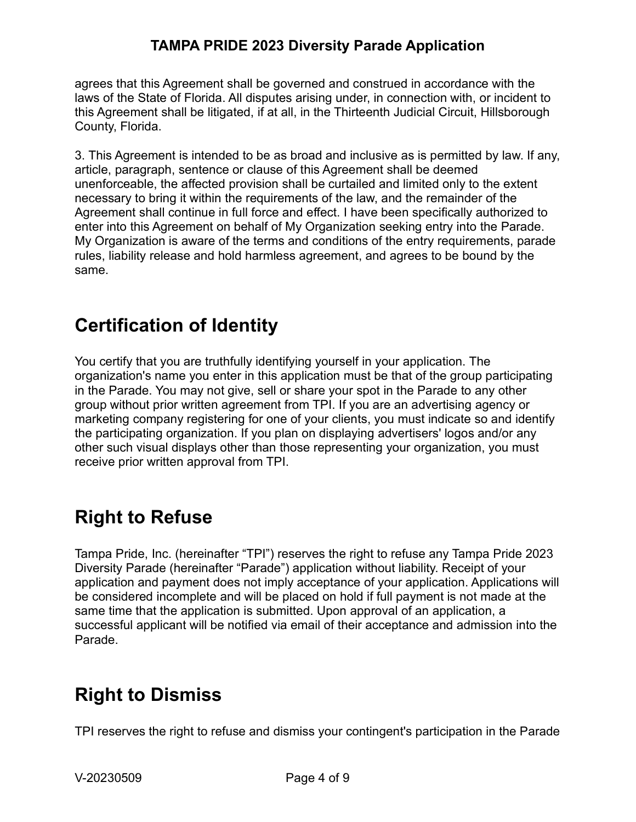agrees that this Agreement shall be governed and construed in accordance with the laws of the State of Florida. All disputes arising under, in connection with, or incident to this Agreement shall be litigated, if at all, in the Thirteenth Judicial Circuit, Hillsborough County, Florida.

3. This Agreement is intended to be as broad and inclusive as is permitted by law. If any, article, paragraph, sentence or clause of this Agreement shall be deemed unenforceable, the affected provision shall be curtailed and limited only to the extent necessary to bring it within the requirements of the law, and the remainder of the Agreement shall continue in full force and effect. I have been specifically authorized to enter into this Agreement on behalf of My Organization seeking entry into the Parade. My Organization is aware of the terms and conditions of the entry requirements, parade rules, liability release and hold harmless agreement, and agrees to be bound by the same.

## Certification of Identity

You certify that you are truthfully identifying yourself in your application. The organization's name you enter in this application must be that of the group participating in the Parade. You may not give, sell or share your spot in the Parade to any other group without prior written agreement from TPI. If you are an advertising agency or marketing company registering for one of your clients, you must indicate so and identify the participating organization. If you plan on displaying advertisers' logos and/or any other such visual displays other than those representing your organization, you must receive prior written approval from TPI.

## Right to Refuse

Tampa Pride, Inc. (hereinafter "TPI") reserves the right to refuse any Tampa Pride 2023 Diversity Parade (hereinafter "Parade") application without liability. Receipt of your application and payment does not imply acceptance of your application. Applications will be considered incomplete and will be placed on hold if full payment is not made at the same time that the application is submitted. Upon approval of an application, a successful applicant will be notified via email of their acceptance and admission into the Parade.

## Right to Dismiss

TPI reserves the right to refuse and dismiss your contingent's participation in the Parade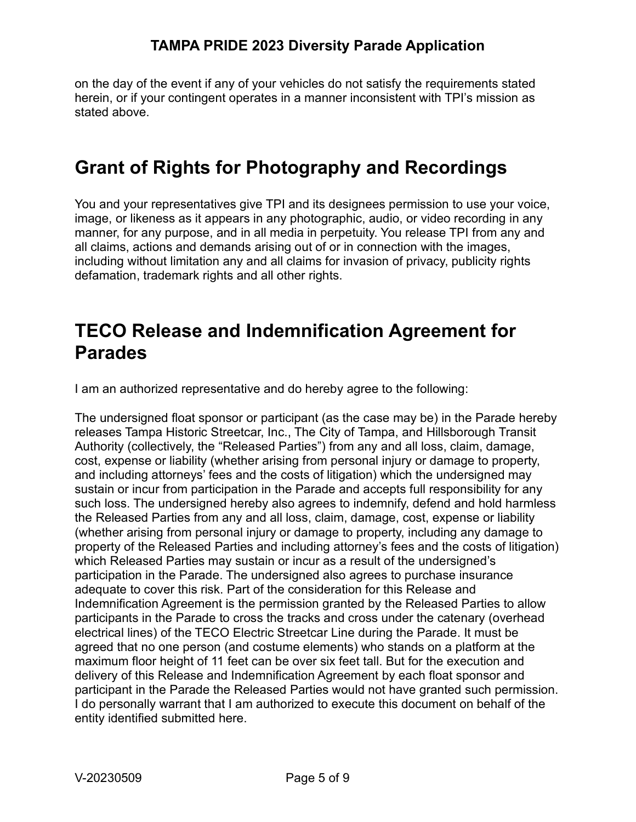on the day of the event if any of your vehicles do not satisfy the requirements stated herein, or if your contingent operates in a manner inconsistent with TPI's mission as stated above.

## Grant of Rights for Photography and Recordings

You and your representatives give TPI and its designees permission to use your voice, image, or likeness as it appears in any photographic, audio, or video recording in any manner, for any purpose, and in all media in perpetuity. You release TPI from any and all claims, actions and demands arising out of or in connection with the images, including without limitation any and all claims for invasion of privacy, publicity rights defamation, trademark rights and all other rights.

### TECO Release and Indemnification Agreement for Parades

I am an authorized representative and do hereby agree to the following:

The undersigned float sponsor or participant (as the case may be) in the Parade hereby releases Tampa Historic Streetcar, Inc., The City of Tampa, and Hillsborough Transit Authority (collectively, the "Released Parties") from any and all loss, claim, damage, cost, expense or liability (whether arising from personal injury or damage to property, and including attorneys' fees and the costs of litigation) which the undersigned may sustain or incur from participation in the Parade and accepts full responsibility for any such loss. The undersigned hereby also agrees to indemnify, defend and hold harmless the Released Parties from any and all loss, claim, damage, cost, expense or liability (whether arising from personal injury or damage to property, including any damage to property of the Released Parties and including attorney's fees and the costs of litigation) which Released Parties may sustain or incur as a result of the undersigned's participation in the Parade. The undersigned also agrees to purchase insurance adequate to cover this risk. Part of the consideration for this Release and Indemnification Agreement is the permission granted by the Released Parties to allow participants in the Parade to cross the tracks and cross under the catenary (overhead electrical lines) of the TECO Electric Streetcar Line during the Parade. It must be agreed that no one person (and costume elements) who stands on a platform at the maximum floor height of 11 feet can be over six feet tall. But for the execution and delivery of this Release and Indemnification Agreement by each float sponsor and participant in the Parade the Released Parties would not have granted such permission. I do personally warrant that I am authorized to execute this document on behalf of the entity identified submitted here.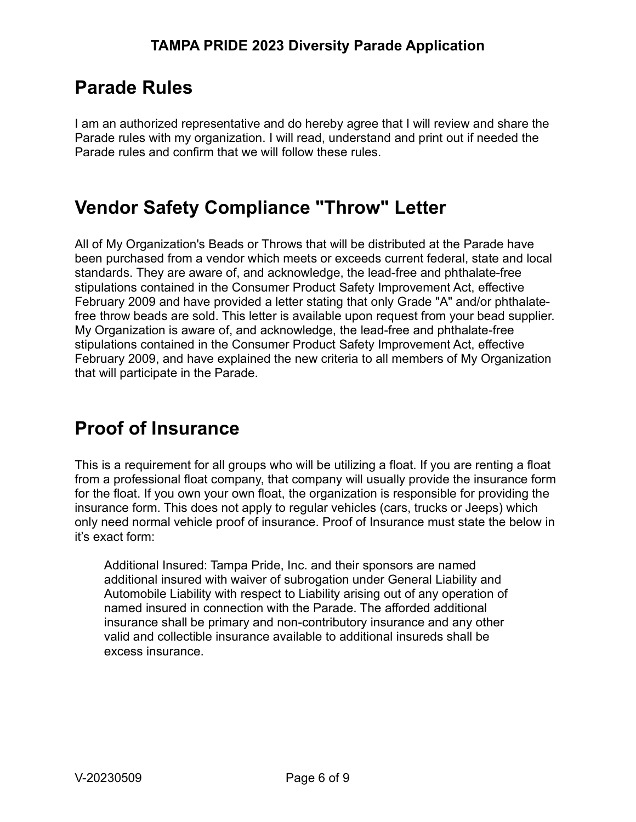## Parade Rules

I am an authorized representative and do hereby agree that I will review and share the Parade rules with my organization. I will read, understand and print out if needed the Parade rules and confirm that we will follow these rules.

## Vendor Safety Compliance "Throw" Letter

All of My Organization's Beads or Throws that will be distributed at the Parade have been purchased from a vendor which meets or exceeds current federal, state and local standards. They are aware of, and acknowledge, the lead-free and phthalate-free stipulations contained in the Consumer Product Safety Improvement Act, effective February 2009 and have provided a letter stating that only Grade "A" and/or phthalatefree throw beads are sold. This letter is available upon request from your bead supplier. My Organization is aware of, and acknowledge, the lead-free and phthalate-free stipulations contained in the Consumer Product Safety Improvement Act, effective February 2009, and have explained the new criteria to all members of My Organization that will participate in the Parade.

# Proof of Insurance

This is a requirement for all groups who will be utilizing a float. If you are renting a float from a professional float company, that company will usually provide the insurance form for the float. If you own your own float, the organization is responsible for providing the insurance form. This does not apply to regular vehicles (cars, trucks or Jeeps) which only need normal vehicle proof of insurance. Proof of Insurance must state the below in it's exact form:

Additional Insured: Tampa Pride, Inc. and their sponsors are named additional insured with waiver of subrogation under General Liability and Automobile Liability with respect to Liability arising out of any operation of named insured in connection with the Parade. The afforded additional insurance shall be primary and non-contributory insurance and any other valid and collectible insurance available to additional insureds shall be excess insurance.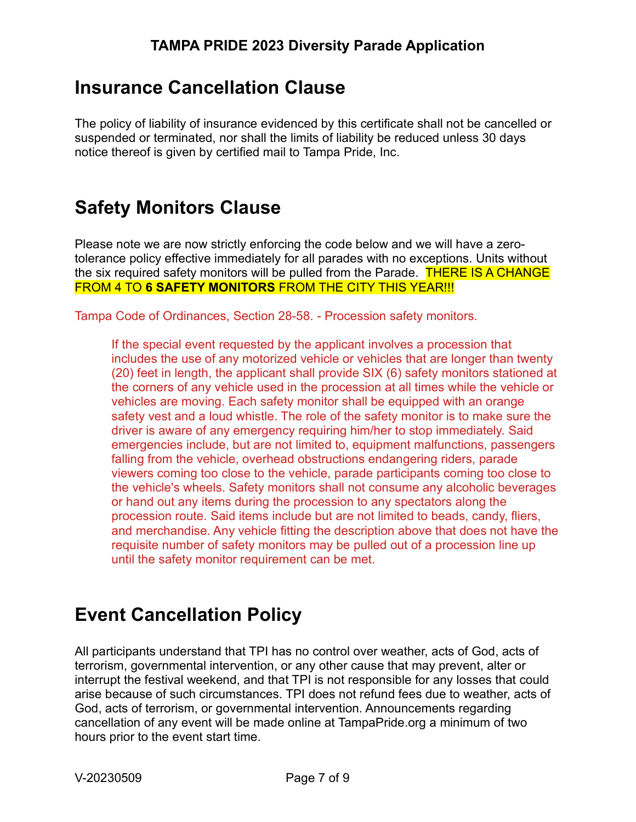## Insurance Cancellation Clause

The policy of liability of insurance evidenced by this certificate shall not be cancelled or suspended or terminated, nor shall the limits of liability be reduced unless 30 days notice thereof is given by certified mail to Tampa Pride, Inc.

## Safety Monitors Clause

Please note we are now strictly enforcing the code below and we will have a zerotolerance policy effective immediately for all parades with no exceptions. Units without the six required safety monitors will be pulled from the Parade. THERE IS A CHANGE FROM 4 TO 6 SAFETY MONITORS FROM THE CITY THIS YEAR!!!

Tampa Code of Ordinances, Section 28-58. - Procession safety monitors.

If the special event requested by the applicant involves a procession that includes the use of any motorized vehicle or vehicles that are longer than twenty (20) feet in length, the applicant shall provide SIX (6) safety monitors stationed at the corners of any vehicle used in the procession at all times while the vehicle or vehicles are moving. Each safety monitor shall be equipped with an orange safety vest and a loud whistle. The role of the safety monitor is to make sure the driver is aware of any emergency requiring him/her to stop immediately. Said emergencies include, but are not limited to, equipment malfunctions, passengers falling from the vehicle, overhead obstructions endangering riders, parade viewers coming too close to the vehicle, parade participants coming too close to the vehicle's wheels. Safety monitors shall not consume any alcoholic beverages or hand out any items during the procession to any spectators along the procession route. Said items include but are not limited to beads, candy, fliers, and merchandise. Any vehicle fitting the description above that does not have the requisite number of safety monitors may be pulled out of a procession line up until the safety monitor requirement can be met.

## Event Cancellation Policy

All participants understand that TPI has no control over weather, acts of God, acts of terrorism, governmental intervention, or any other cause that may prevent, alter or interrupt the festival weekend, and that TPI is not responsible for any losses that could arise because of such circumstances. TPI does not refund fees due to weather, acts of God, acts of terrorism, or governmental intervention. Announcements regarding cancellation of any event will be made online at TampaPride.org a minimum of two hours prior to the event start time.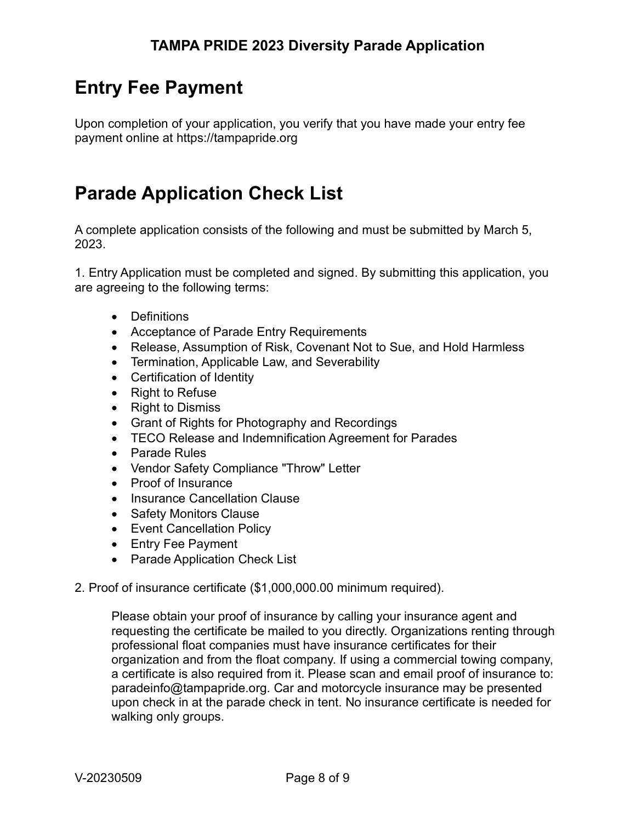## Entry Fee Payment

Upon completion of your application, you verify that you have made your entry fee payment online at https://tampapride.org

## Parade Application Check List

A complete application consists of the following and must be submitted by March 5, 2023.

1. Entry Application must be completed and signed. By submitting this application, you are agreeing to the following terms:

- Definitions
- Acceptance of Parade Entry Requirements
- Release, Assumption of Risk, Covenant Not to Sue, and Hold Harmless
- Termination, Applicable Law, and Severability
- Certification of Identity
- Right to Refuse
- Right to Dismiss
- Grant of Rights for Photography and Recordings
- TECO Release and Indemnification Agreement for Parades
- Parade Rules
- Vendor Safety Compliance "Throw" Letter
- Proof of Insurance
- Insurance Cancellation Clause
- Safety Monitors Clause
- Event Cancellation Policy
- Entry Fee Payment
- Parade Application Check List
- 2. Proof of insurance certificate (\$1,000,000.00 minimum required).

Please obtain your proof of insurance by calling your insurance agent and requesting the certificate be mailed to you directly. Organizations renting through professional float companies must have insurance certificates for their organization and from the float company. If using a commercial towing company, a certificate is also required from it. Please scan and email proof of insurance to: paradeinfo@tampapride.org. Car and motorcycle insurance may be presented upon check in at the parade check in tent. No insurance certificate is needed for walking only groups.